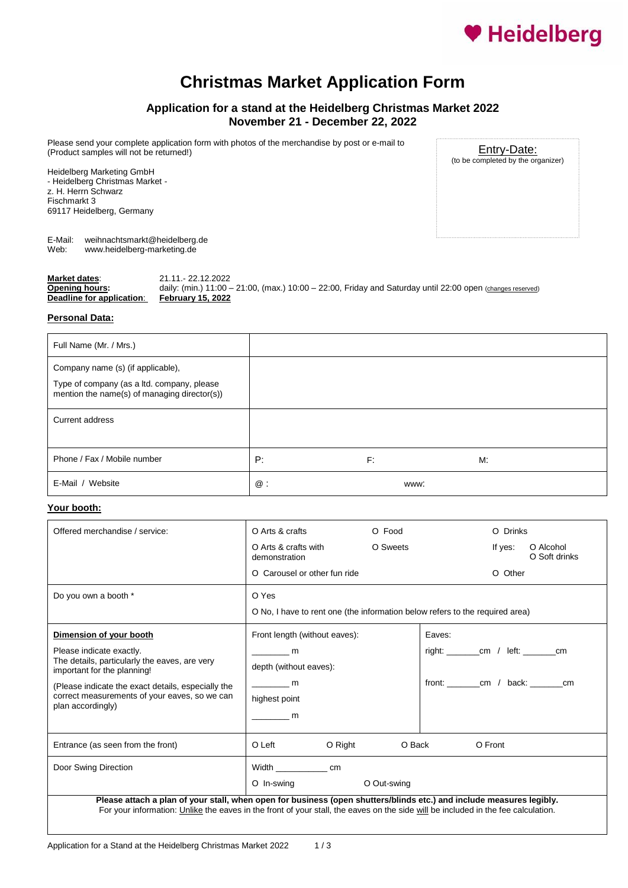

## **Christmas Market Application Form**

## **Application for a stand at the Heidelberg Christmas Market 2022 November 21 - December 22, 2022**

Please send your complete application form with photos of the merchandise by post or e-mail to (Product samples will not be returned!)

Heidelberg Marketing GmbH - Heidelberg Christmas Market z. H. Herrn Schwarz Fischmarkt 3 69117 Heidelberg, Germany

Entry-Date: (to be completed by the organizer)

E-Mail: weihnachtsmarkt@heidelberg.de<br>Web: www.heidelberg-marketing.de Web: www.heidelberg-marketing.de

| Market dates:             | 21.11. 22.12.2022                                                                                                |
|---------------------------|------------------------------------------------------------------------------------------------------------------|
| Opening hours:            | daily: (min.) $11:00 - 21:00$ , (max.) $10:00 - 22:00$ , Friday and Saturday until 22:00 open (changes reserved) |
| Deadline for application: | <b>February 15, 2022</b>                                                                                         |

### **Personal Data:**

| Full Name (Mr. / Mrs.)                                                                                                          |    |      |    |  |
|---------------------------------------------------------------------------------------------------------------------------------|----|------|----|--|
| Company name (s) (if applicable),<br>Type of company (as a ltd. company, please<br>mention the name(s) of managing director(s)) |    |      |    |  |
| Current address                                                                                                                 |    |      |    |  |
| Phone / Fax / Mobile number                                                                                                     | P: | F:   | M: |  |
| E-Mail / Website                                                                                                                | @: | www: |    |  |

## **Your booth:**

| Offered merchandise / service:                                                                                           | O Arts & crafts                                                                           | O Food      | O Drinks                                                                     |
|--------------------------------------------------------------------------------------------------------------------------|-------------------------------------------------------------------------------------------|-------------|------------------------------------------------------------------------------|
|                                                                                                                          | O Arts & crafts with<br>demonstration                                                     | O Sweets    | O Alcohol<br>If yes:<br>O Soft drinks                                        |
|                                                                                                                          | O Carousel or other fun ride                                                              |             | O Other                                                                      |
| Do you own a booth *                                                                                                     | O Yes                                                                                     |             |                                                                              |
|                                                                                                                          |                                                                                           |             | O No, I have to rent one (the information below refers to the required area) |
| Dimension of your booth                                                                                                  | Front length (without eaves):                                                             |             | Eaves:                                                                       |
| Please indicate exactly.<br>The details, particularly the eaves, are very<br>important for the planning!                 | $\frac{1}{\sqrt{1-\frac{1}{2}}}\frac{m}{\sqrt{1-\frac{1}{2}}}\$<br>depth (without eaves): |             | right: __________ cm / left: ________ cm                                     |
| (Please indicate the exact details, especially the<br>correct measurements of your eaves, so we can<br>plan accordingly) | <b>m</b><br>highest point<br><b>n</b> m                                                   |             | front: __________ cm / back: ________ cm                                     |
| Entrance (as seen from the front)                                                                                        | O Left<br>O Right                                                                         | O Back      | O Front                                                                      |
| Door Swing Direction                                                                                                     | Width cm<br>O In-swing                                                                    | O Out-swing |                                                                              |
| Please attach a plan of your stall, when open for business (open shutters/blinds etc.) and include measures legibly.     |                                                                                           |             |                                                                              |

For your information: Unlike the eaves in the front of your stall, the eaves on the side will be included in the fee calculation.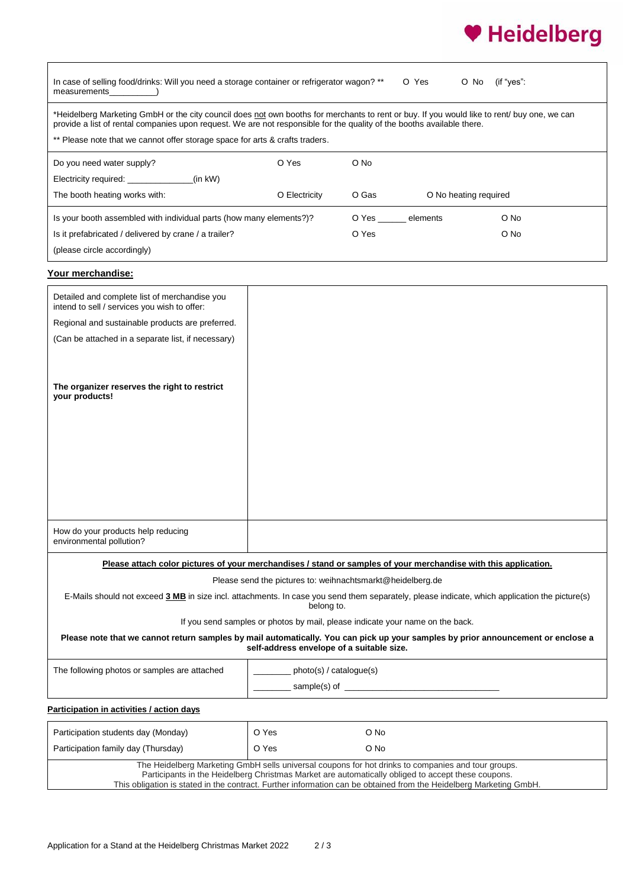# ♥ Heidelberg

| In case of selling food/drinks: Will you need a storage container or refrigerator wagon? **<br>O Yes<br>(if "yes":<br>O No<br>measurements                                                                                                                                                                                                            |                                                                               |       |                |                       |  |
|-------------------------------------------------------------------------------------------------------------------------------------------------------------------------------------------------------------------------------------------------------------------------------------------------------------------------------------------------------|-------------------------------------------------------------------------------|-------|----------------|-----------------------|--|
| *Heidelberg Marketing GmbH or the city council does not own booths for merchants to rent or buy. If you would like to rent/ buy one, we can<br>provide a list of rental companies upon request. We are not responsible for the quality of the booths available there.<br>** Please note that we cannot offer storage space for arts & crafts traders. |                                                                               |       |                |                       |  |
| Do you need water supply?                                                                                                                                                                                                                                                                                                                             | O Yes                                                                         | O No  |                |                       |  |
| Electricity required: _______________<br>$(in$ kW $)$                                                                                                                                                                                                                                                                                                 |                                                                               |       |                |                       |  |
| The booth heating works with:                                                                                                                                                                                                                                                                                                                         | O Electricity                                                                 | O Gas |                | O No heating required |  |
| Is your booth assembled with individual parts (how many elements?)?                                                                                                                                                                                                                                                                                   |                                                                               |       | O Yes elements | O No                  |  |
| Is it prefabricated / delivered by crane / a trailer?                                                                                                                                                                                                                                                                                                 |                                                                               | O Yes |                | O No                  |  |
| (please circle accordingly)                                                                                                                                                                                                                                                                                                                           |                                                                               |       |                |                       |  |
| Your merchandise:                                                                                                                                                                                                                                                                                                                                     |                                                                               |       |                |                       |  |
| Detailed and complete list of merchandise you                                                                                                                                                                                                                                                                                                         |                                                                               |       |                |                       |  |
| intend to sell / services you wish to offer:                                                                                                                                                                                                                                                                                                          |                                                                               |       |                |                       |  |
| Regional and sustainable products are preferred.                                                                                                                                                                                                                                                                                                      |                                                                               |       |                |                       |  |
| (Can be attached in a separate list, if necessary)                                                                                                                                                                                                                                                                                                    |                                                                               |       |                |                       |  |
|                                                                                                                                                                                                                                                                                                                                                       |                                                                               |       |                |                       |  |
| The organizer reserves the right to restrict<br>your products!                                                                                                                                                                                                                                                                                        |                                                                               |       |                |                       |  |
|                                                                                                                                                                                                                                                                                                                                                       |                                                                               |       |                |                       |  |
|                                                                                                                                                                                                                                                                                                                                                       |                                                                               |       |                |                       |  |
|                                                                                                                                                                                                                                                                                                                                                       |                                                                               |       |                |                       |  |
|                                                                                                                                                                                                                                                                                                                                                       |                                                                               |       |                |                       |  |
|                                                                                                                                                                                                                                                                                                                                                       |                                                                               |       |                |                       |  |
|                                                                                                                                                                                                                                                                                                                                                       |                                                                               |       |                |                       |  |
|                                                                                                                                                                                                                                                                                                                                                       |                                                                               |       |                |                       |  |
| How do your products help reducing<br>environmental pollution?                                                                                                                                                                                                                                                                                        |                                                                               |       |                |                       |  |
| Please attach color pictures of your merchandises / stand or samples of your merchandise with this application.                                                                                                                                                                                                                                       |                                                                               |       |                |                       |  |
|                                                                                                                                                                                                                                                                                                                                                       | Please send the pictures to: weihnachtsmarkt@heidelberg.de                    |       |                |                       |  |
| E-Mails should not exceed 3 MB in size incl. attachments. In case you send them separately, please indicate, which application the picture(s)<br>belong to.                                                                                                                                                                                           |                                                                               |       |                |                       |  |
|                                                                                                                                                                                                                                                                                                                                                       | If you send samples or photos by mail, please indicate your name on the back. |       |                |                       |  |
| Please note that we cannot return samples by mail automatically. You can pick up your samples by prior announcement or enclose a<br>self-address envelope of a suitable size.                                                                                                                                                                         |                                                                               |       |                |                       |  |
| The following photos or samples are attached                                                                                                                                                                                                                                                                                                          | photo(s) / catalogue(s)                                                       |       |                |                       |  |
|                                                                                                                                                                                                                                                                                                                                                       |                                                                               |       |                |                       |  |
| Participation in activities / action days                                                                                                                                                                                                                                                                                                             |                                                                               |       |                |                       |  |
| Participation students day (Monday)                                                                                                                                                                                                                                                                                                                   | O Yes                                                                         | O No  |                |                       |  |
| Participation family day (Thursday)                                                                                                                                                                                                                                                                                                                   | O Yes                                                                         | O No  |                |                       |  |
| The Heidelberg Marketing GmbH sells universal coupons for hot drinks to companies and tour groups.<br>Participants in the Heidelberg Christmas Market are automatically obliged to accept these coupons.<br>This obligation is stated in the contract. Further information can be obtained from the Heidelberg Marketing GmbH.                        |                                                                               |       |                |                       |  |